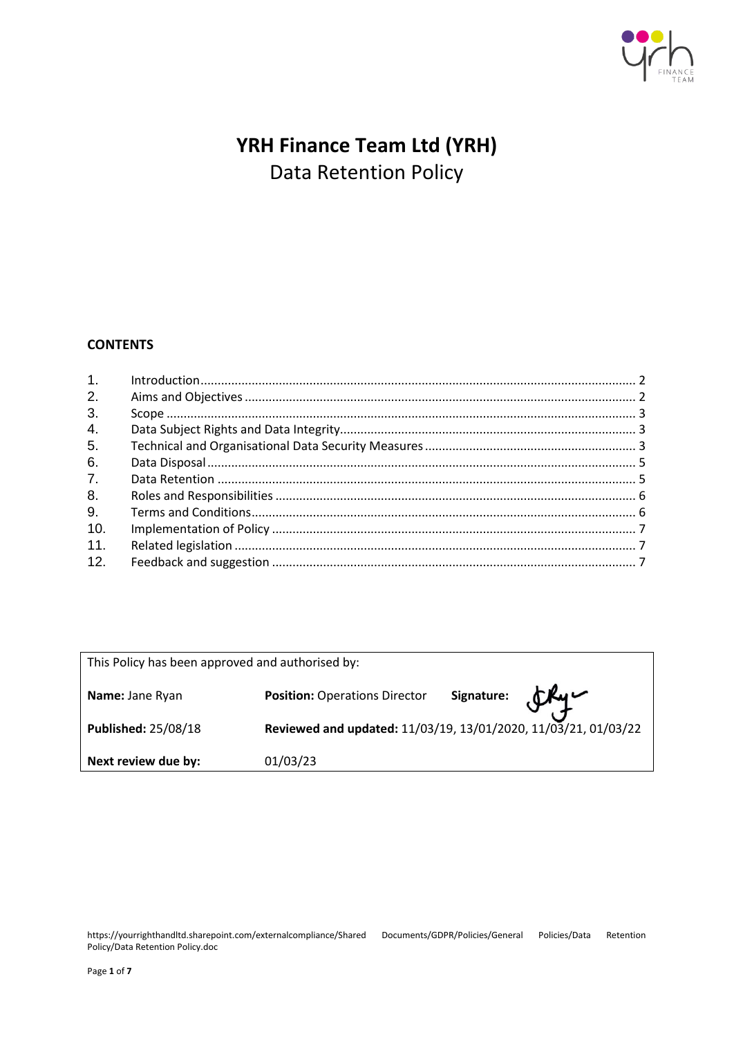

# **YRH Finance Team Ltd (YRH)** Data Retention Policy

# **CONTENTS**

| 1.  |  |
|-----|--|
| 2.  |  |
| 3.  |  |
| 4.  |  |
| 5.  |  |
| 6.  |  |
| 7.  |  |
| 8.  |  |
| 9.  |  |
| 10. |  |
| 11. |  |
| 12. |  |

| This Policy has been approved and authorised by: |                                                                |                          |  |  |  |  |
|--------------------------------------------------|----------------------------------------------------------------|--------------------------|--|--|--|--|
| Name: Jane Ryan                                  | <b>Position: Operations Director</b>                           | Signature: $\mathcal{L}$ |  |  |  |  |
| <b>Published: 25/08/18</b>                       | Reviewed and updated: 11/03/19, 13/01/2020, 11/03/21, 01/03/22 |                          |  |  |  |  |
| Next review due by:                              | 01/03/23                                                       |                          |  |  |  |  |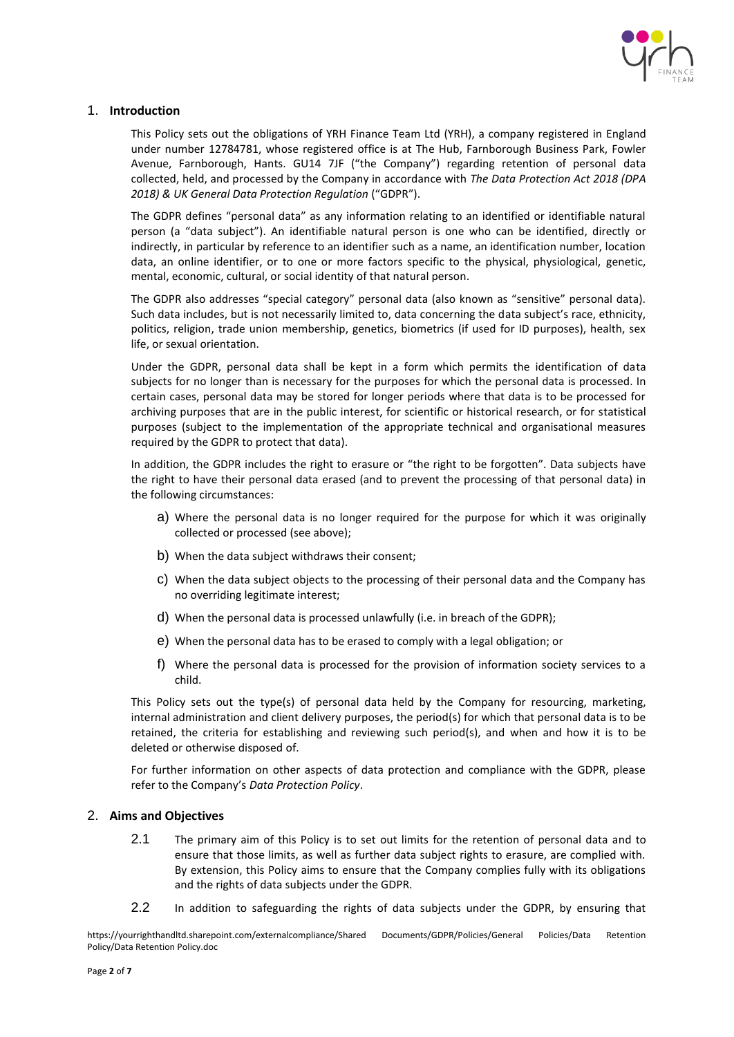

## <span id="page-1-0"></span>1. **Introduction**

This Policy sets out the obligations of YRH Finance Team Ltd (YRH), a company registered in England under number 12784781, whose registered office is at The Hub, Farnborough Business Park, Fowler Avenue, Farnborough, Hants. GU14 7JF ("the Company") regarding retention of personal data collected, held, and processed by the Company in accordance with *The Data Protection Act 2018 (DPA 2018) & UK General Data Protection Regulation* ("GDPR").

The GDPR defines "personal data" as any information relating to an identified or identifiable natural person (a "data subject"). An identifiable natural person is one who can be identified, directly or indirectly, in particular by reference to an identifier such as a name, an identification number, location data, an online identifier, or to one or more factors specific to the physical, physiological, genetic, mental, economic, cultural, or social identity of that natural person.

The GDPR also addresses "special category" personal data (also known as "sensitive" personal data). Such data includes, but is not necessarily limited to, data concerning the data subject's race, ethnicity, politics, religion, trade union membership, genetics, biometrics (if used for ID purposes), health, sex life, or sexual orientation.

Under the GDPR, personal data shall be kept in a form which permits the identification of data subjects for no longer than is necessary for the purposes for which the personal data is processed. In certain cases, personal data may be stored for longer periods where that data is to be processed for archiving purposes that are in the public interest, for scientific or historical research, or for statistical purposes (subject to the implementation of the appropriate technical and organisational measures required by the GDPR to protect that data).

In addition, the GDPR includes the right to erasure or "the right to be forgotten". Data subjects have the right to have their personal data erased (and to prevent the processing of that personal data) in the following circumstances:

- a) Where the personal data is no longer required for the purpose for which it was originally collected or processed (see above);
- b) When the data subject withdraws their consent;
- c) When the data subject objects to the processing of their personal data and the Company has no overriding legitimate interest;
- d) When the personal data is processed unlawfully (i.e. in breach of the GDPR);
- e) When the personal data has to be erased to comply with a legal obligation; or
- f) Where the personal data is processed for the provision of information society services to a child.

This Policy sets out the type(s) of personal data held by the Company for resourcing, marketing, internal administration and client delivery purposes, the period(s) for which that personal data is to be retained, the criteria for establishing and reviewing such period(s), and when and how it is to be deleted or otherwise disposed of.

For further information on other aspects of data protection and compliance with the GDPR, please refer to the Company's *Data Protection Policy*.

## <span id="page-1-1"></span>2. **Aims and Objectives**

- 2.1 The primary aim of this Policy is to set out limits for the retention of personal data and to ensure that those limits, as well as further data subject rights to erasure, are complied with. By extension, this Policy aims to ensure that the Company complies fully with its obligations and the rights of data subjects under the GDPR.
- 2.2 In addition to safeguarding the rights of data subjects under the GDPR, by ensuring that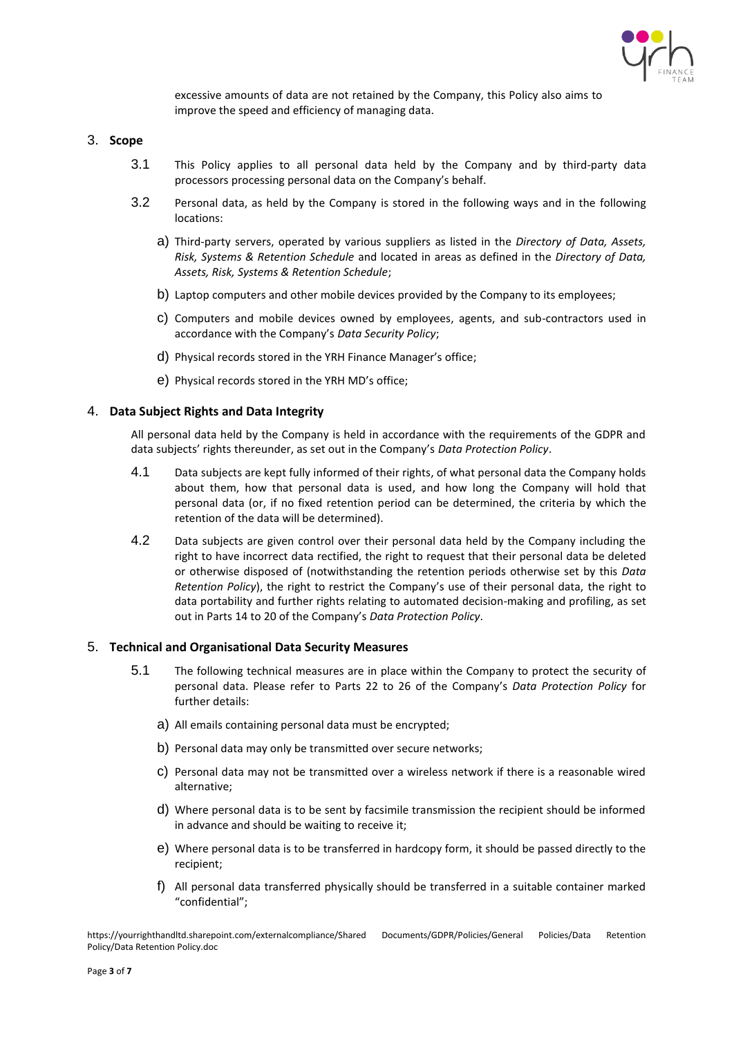

excessive amounts of data are not retained by the Company, this Policy also aims to improve the speed and efficiency of managing data.

- <span id="page-2-0"></span>3. **Scope**
	- 3.1 This Policy applies to all personal data held by the Company and by third-party data processors processing personal data on the Company's behalf.
	- 3.2 Personal data, as held by the Company is stored in the following ways and in the following locations:
		- a) Third-party servers, operated by various suppliers as listed in the *Directory of Data, Assets, Risk, Systems & Retention Schedule* and located in areas as defined in the *Directory of Data, Assets, Risk, Systems & Retention Schedule*;
		- b) Laptop computers and other mobile devices provided by the Company to its employees;
		- c) Computers and mobile devices owned by employees, agents, and sub-contractors used in accordance with the Company's *Data Security Policy*;
		- d) Physical records stored in the YRH Finance Manager's office;
		- e) Physical records stored in the YRH MD's office;

## <span id="page-2-1"></span>4. **Data Subject Rights and Data Integrity**

All personal data held by the Company is held in accordance with the requirements of the GDPR and data subjects' rights thereunder, as set out in the Company's *Data Protection Policy*.

- 4.1 Data subjects are kept fully informed of their rights, of what personal data the Company holds about them, how that personal data is used, and how long the Company will hold that personal data (or, if no fixed retention period can be determined, the criteria by which the retention of the data will be determined).
- 4.2 Data subjects are given control over their personal data held by the Company including the right to have incorrect data rectified, the right to request that their personal data be deleted or otherwise disposed of (notwithstanding the retention periods otherwise set by this *Data Retention Policy*), the right to restrict the Company's use of their personal data, the right to data portability and further rights relating to automated decision-making and profiling, as set out in Parts 14 to 20 of the Company's *Data Protection Policy*.

## <span id="page-2-2"></span>5. **Technical and Organisational Data Security Measures**

- 5.1 The following technical measures are in place within the Company to protect the security of personal data. Please refer to Parts 22 to 26 of the Company's *Data Protection Policy* for further details:
	- a) All emails containing personal data must be encrypted;
	- b) Personal data may only be transmitted over secure networks;
	- c) Personal data may not be transmitted over a wireless network if there is a reasonable wired alternative;
	- d) Where personal data is to be sent by facsimile transmission the recipient should be informed in advance and should be waiting to receive it;
	- e) Where personal data is to be transferred in hardcopy form, it should be passed directly to the recipient;
	- f) All personal data transferred physically should be transferred in a suitable container marked "confidential";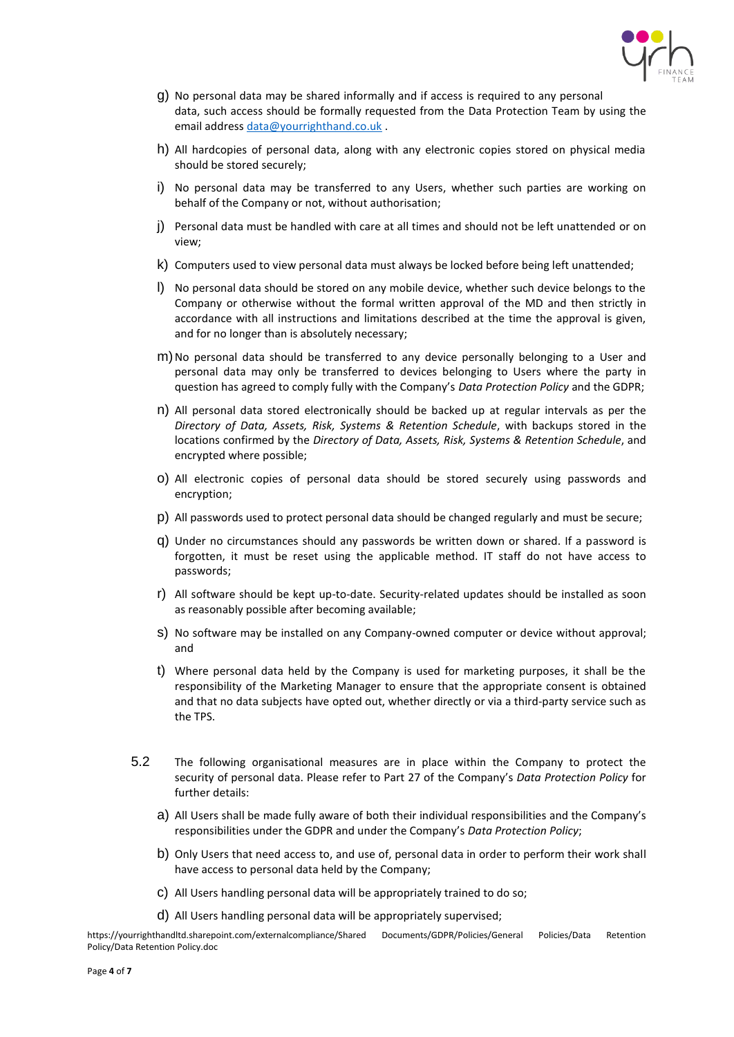

- g) No personal data may be shared informally and if access is required to any personal data, such access should be formally requested from the Data Protection Team by using the email address [data@yourrighthand.co.uk](mailto:data@yourrighthand.co.uk) .
- h) All hardcopies of personal data, along with any electronic copies stored on physical media should be stored securely;
- i) No personal data may be transferred to any Users, whether such parties are working on behalf of the Company or not, without authorisation;
- j) Personal data must be handled with care at all times and should not be left unattended or on view;
- k) Computers used to view personal data must always be locked before being left unattended;
- l) No personal data should be stored on any mobile device, whether such device belongs to the Company or otherwise without the formal written approval of the MD and then strictly in accordance with all instructions and limitations described at the time the approval is given, and for no longer than is absolutely necessary;
- m)No personal data should be transferred to any device personally belonging to a User and personal data may only be transferred to devices belonging to Users where the party in question has agreed to comply fully with the Company's *Data Protection Policy* and the GDPR;
- n) All personal data stored electronically should be backed up at regular intervals as per the *Directory of Data, Assets, Risk, Systems & Retention Schedule*, with backups stored in the locations confirmed by the *Directory of Data, Assets, Risk, Systems & Retention Schedule*, and encrypted where possible;
- o) All electronic copies of personal data should be stored securely using passwords and encryption;
- p) All passwords used to protect personal data should be changed regularly and must be secure;
- q) Under no circumstances should any passwords be written down or shared. If a password is forgotten, it must be reset using the applicable method. IT staff do not have access to passwords;
- r) All software should be kept up-to-date. Security-related updates should be installed as soon as reasonably possible after becoming available;
- s) No software may be installed on any Company-owned computer or device without approval; and
- t) Where personal data held by the Company is used for marketing purposes, it shall be the responsibility of the Marketing Manager to ensure that the appropriate consent is obtained and that no data subjects have opted out, whether directly or via a third-party service such as the TPS.
- 5.2 The following organisational measures are in place within the Company to protect the security of personal data. Please refer to Part 27 of the Company's *Data Protection Policy* for further details:
	- a) All Users shall be made fully aware of both their individual responsibilities and the Company's responsibilities under the GDPR and under the Company's *Data Protection Policy*;
	- b) Only Users that need access to, and use of, personal data in order to perform their work shall have access to personal data held by the Company;
	- c) All Users handling personal data will be appropriately trained to do so;
	- d) All Users handling personal data will be appropriately supervised;

https://yourrighthandltd.sharepoint.com/externalcompliance/Shared Documents/GDPR/Policies/General Policies/Data Retention Policy/Data Retention Policy.doc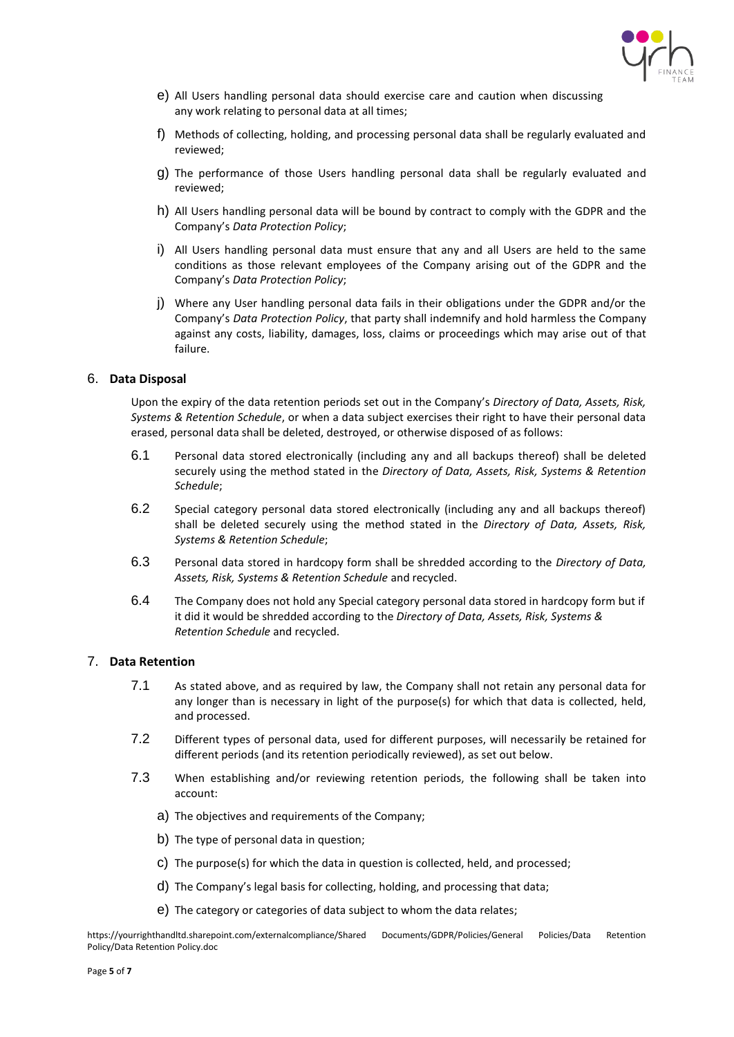

- e) All Users handling personal data should exercise care and caution when discussing any work relating to personal data at all times;
- f) Methods of collecting, holding, and processing personal data shall be regularly evaluated and reviewed;
- g) The performance of those Users handling personal data shall be regularly evaluated and reviewed;
- h) All Users handling personal data will be bound by contract to comply with the GDPR and the Company's *Data Protection Policy*;
- i) All Users handling personal data must ensure that any and all Users are held to the same conditions as those relevant employees of the Company arising out of the GDPR and the Company's *Data Protection Policy*;
- j) Where any User handling personal data fails in their obligations under the GDPR and/or the Company's *Data Protection Policy*, that party shall indemnify and hold harmless the Company against any costs, liability, damages, loss, claims or proceedings which may arise out of that failure.

## <span id="page-4-0"></span>6. **Data Disposal**

Upon the expiry of the data retention periods set out in the Company's *[Directory of Data, Assets,](https://yourrighthandltd.sharepoint.com/central/Documents/6.%20GDPR%20PROJECT/1.%20Policy%20&%20Directories%20&%20Data%20Mapping/Data%20Mapping%20&%20Directory%20of%20Systems/Directories%20of%20Data%20and%20Assets%20and%20Risk%20and%20Systems%20and%20Retention%20Schedule.xlsx) Risk, [Systems & Retention Schedule](https://yourrighthandltd.sharepoint.com/central/Documents/6.%20GDPR%20PROJECT/1.%20Policy%20&%20Directories%20&%20Data%20Mapping/Data%20Mapping%20&%20Directory%20of%20Systems/Directories%20of%20Data%20and%20Assets%20and%20Risk%20and%20Systems%20and%20Retention%20Schedule.xlsx)*, or when a data subject exercises their right to have their personal data erased, personal data shall be deleted, destroyed, or otherwise disposed of as follows:

- 6.1 Personal data stored electronically (including any and all backups thereof) shall be deleted securely using the method stated in the *Directory of Data, Assets, Risk, Systems & Retention Schedule*;
- 6.2 Special category personal data stored electronically (including any and all backups thereof) shall be deleted securely using the method stated in the *Directory of Data, Assets, Risk, Systems & Retention Schedule*;
- 6.3 Personal data stored in hardcopy form shall be shredded according to the *Directory of Data, Assets, Risk, Systems & Retention Schedule* and recycled.
- 6.4 The Company does not hold any Special category personal data stored in hardcopy form but if it did it would be shredded according to the *Directory of Data, Assets, Risk, Systems & Retention Schedule* and recycled.

## <span id="page-4-1"></span>7. **Data Retention**

- 7.1 As stated above, and as required by law, the Company shall not retain any personal data for any longer than is necessary in light of the purpose(s) for which that data is collected, held, and processed.
- 7.2 Different types of personal data, used for different purposes, will necessarily be retained for different periods (and its retention periodically reviewed), as set out below.
- 7.3 When establishing and/or reviewing retention periods, the following shall be taken into account:
	- a) The objectives and requirements of the Company;
	- b) The type of personal data in question;
	- c) The purpose(s) for which the data in question is collected, held, and processed;
	- d) The Company's legal basis for collecting, holding, and processing that data;
	- e) The category or categories of data subject to whom the data relates;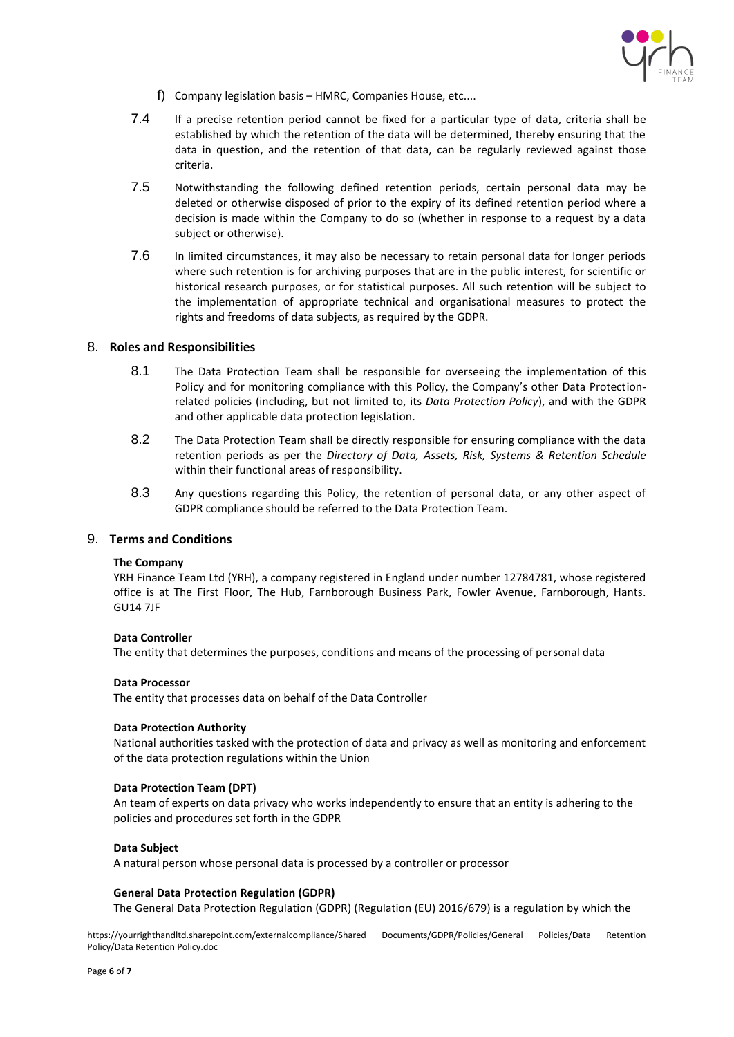

- f) Company legislation basis HMRC, Companies House, etc....
- 7.4 If a precise retention period cannot be fixed for a particular type of data, criteria shall be established by which the retention of the data will be determined, thereby ensuring that the data in question, and the retention of that data, can be regularly reviewed against those criteria.
- 7.5 Notwithstanding the following defined retention periods, certain personal data may be deleted or otherwise disposed of prior to the expiry of its defined retention period where a decision is made within the Company to do so (whether in response to a request by a data subject or otherwise).
- 7.6 In limited circumstances, it may also be necessary to retain personal data for longer periods where such retention is for archiving purposes that are in the public interest, for scientific or historical research purposes, or for statistical purposes. All such retention will be subject to the implementation of appropriate technical and organisational measures to protect the rights and freedoms of data subjects, as required by the GDPR.

## <span id="page-5-0"></span>8. **Roles and Responsibilities**

- 8.1 The Data Protection Team shall be responsible for overseeing the implementation of this Policy and for monitoring compliance with this Policy, the Company's other Data Protectionrelated policies (including, but not limited to, its *Data Protection Policy*), and with the GDPR and other applicable data protection legislation.
- 8.2 The Data Protection Team shall be directly responsible for ensuring compliance with the data retention periods as per the *Directory of Data, Assets, Risk, Systems & Retention Schedule* within their functional areas of responsibility.
- 8.3 Any questions regarding this Policy, the retention of personal data, or any other aspect of GDPR compliance should be referred to the Data Protection Team.

#### <span id="page-5-1"></span>9. **Terms and Conditions**

#### **The Company**

YRH Finance Team Ltd (YRH), a company registered in England under number 12784781, whose registered office is at The First Floor, The Hub, Farnborough Business Park, Fowler Avenue, Farnborough, Hants. GU14 7JF

#### **Data Controller**

The entity that determines the purposes, conditions and means of the processing of personal data

#### **Data Processor**

**T**he entity that processes data on behalf of the Data Controller

#### **Data Protection Authority**

National authorities tasked with the protection of data and privacy as well as monitoring and enforcement of the data protection regulations within the Union

#### **Data Protection Team (DPT)**

An team of experts on data privacy who works independently to ensure that an entity is adhering to the policies and procedures set forth in the GDPR

#### **Data Subject**

A natural person whose personal data is processed by a controller or processor

#### **General Data Protection Regulation (GDPR)**

The General Data Protection Regulation (GDPR) (Regulation (EU) 2016/679) is a regulation by which the